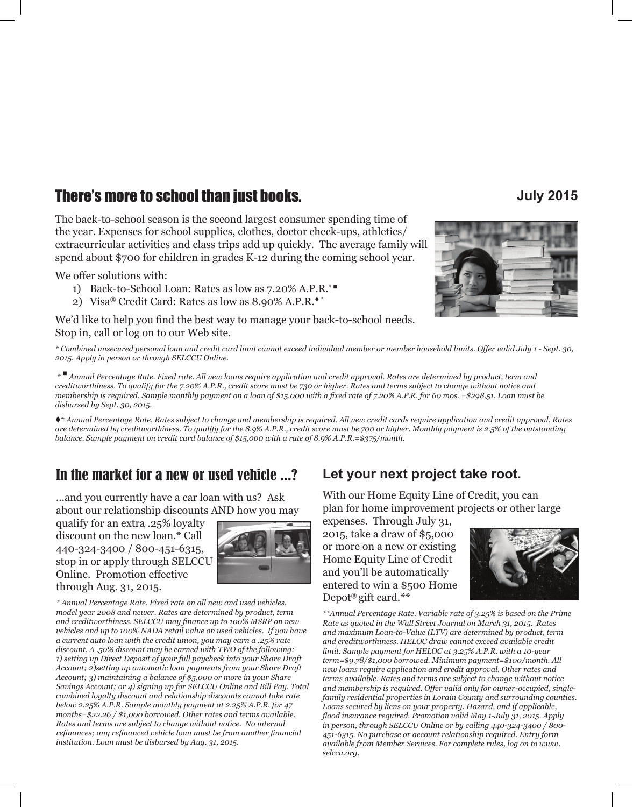# **There's more to school than just books. July 2015**

The back-to-school season is the second largest consumer spending time of the year. Expenses for school supplies, clothes, doctor check-ups, athletics/ extracurricular activities and class trips add up quickly. The average family will spend about \$700 for children in grades K-12 during the coming school year.

We offer solutions with:

- 1) Back-to-School Loan: Rates as low as 7.20% A.P.R.<sup>\*</sup>
- 2) Visa® Credit Card: Rates as low as  $8.90\%$  A.P.R.<sup>\*</sup>

We'd like to help you find the best way to manage your back-to-school needs. Stop in, call or log on to our Web site.



*\* Combined unsecured personal loan and credit card limit cannot exceed individual member or member household limits. Offer valid July 1 - Sept. 30, 2015. Apply in person or through SELCCU Online.*

 *\** n *Annual Percentage Rate. Fixed rate. All new loans require application and credit approval. Rates are determined by product, term and creditworthiness. To qualify for the 7.20% A.P.R., credit score must be 730 or higher. Rates and terms subject to change without notice and membership is required. Sample monthly payment on a loan of \$15,000 with a fixed rate of 7.20% A.P.R. for 60 mos. =\$298.51. Loan must be disbursed by Sept. 30, 2015.*

t\* *Annual Percentage Rate. Rates subject to change and membership is required. All new credit cards require application and credit approval. Rates are determined by creditworthiness. To qualify for the 8.9% A.P.R., credit score must be 700 or higher. Monthly payment is 2.5% of the outstanding balance. Sample payment on credit card balance of \$15,000 with a rate of 8.9% A.P.R.=\$375/month.*

# In the market for a new or used vehicle ...?

...and you currently have a car loan with us? Ask about our relationship discounts AND how you may

qualify for an extra .25% loyalty discount on the new loan.\* Call 440-324-3400 / 800-451-6315, stop in or apply through SELCCU Online. Promotion effective through Aug. 31, 2015.



*\* Annual Percentage Rate. Fixed rate on all new and used vehicles, model year 2008 and newer. Rates are determined by product, term and creditworthiness. SELCCU may finance up to 100% MSRP on new vehicles and up to 100% NADA retail value on used vehicles. If you have a current auto loan with the credit union, you may earn a .25% rate discount. A .50% discount may be earned with TWO of the following: 1) setting up Direct Deposit of your full paycheck into your Share Draft Account; 2)setting up automatic loan payments from your Share Draft Account; 3) maintaining a balance of \$5,000 or more in your Share Savings Account; or 4) signing up for SELCCU Online and Bill Pay. Total combined loyalty discount and relationship discounts cannot take rate below 2.25% A.P.R. Sample monthly payment at 2.25% A.P.R. for 47 months=\$22.26 / \$1,000 borrowed. Other rates and terms available. Rates and terms are subject to change without notice. No internal refinances; any refinanced vehicle loan must be from another financial institution. Loan must be disbursed by Aug. 31, 2015.*

# **Let your next project take root.**

With our Home Equity Line of Credit, you can plan for home improvement projects or other large

expenses. Through July 31, 2015, take a draw of \$5,000 or more on a new or existing Home Equity Line of Credit and you'll be automatically entered to win a \$500 Home Depot® gift card.\*\*



*\*\*Annual Percentage Rate. Variable rate of 3.25% is based on the Prime Rate as quoted in the Wall Street Journal on March 31, 2015. Rates and maximum Loan-to-Value (LTV) are determined by product, term and creditworthiness. HELOC draw cannot exceed available credit limit. Sample payment for HELOC at 3.25% A.P.R. with a 10-year term=\$9.78/\$1,000 borrowed. Minimum payment=\$100/month. All new loans require application and credit approval. Other rates and terms available. Rates and terms are subject to change without notice and membership is required. Offer valid only for owner-occupied, singlefamily residential properties in Lorain County and surrounding counties. Loans secured by liens on your property. Hazard, and if applicable, flood insurance required. Promotion valid May 1-July 31, 2015. Apply in person, through SELCCU Online or by calling 440-324-3400 / 800- 451-6315. No purchase or account relationship required. Entry form available from Member Services. For complete rules, log on to www. selccu.org.*